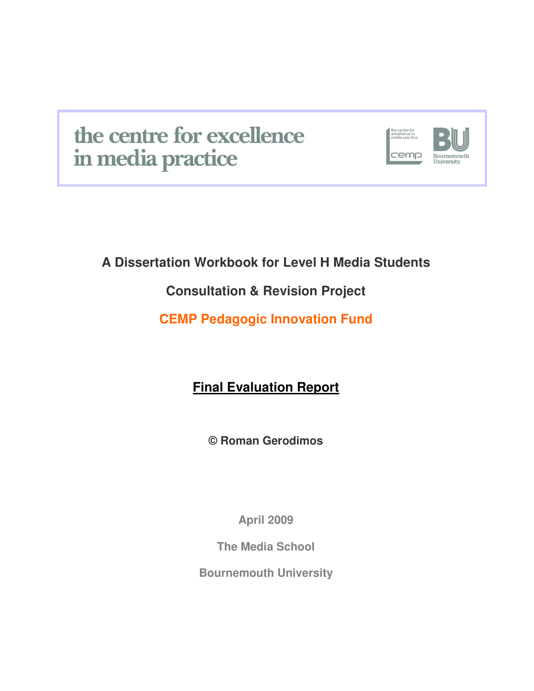# the centre for excellence in media practice



# **A Dissertation Workbook for Level H Media Students**

# **Consultation & Revision Project**

# **CEMP Pedagogic Innovation Fund**

**Final Evaluation Report**

**© Roman Gerodimos** 

**April 2009** 

**The Media School** 

**Bournemouth University**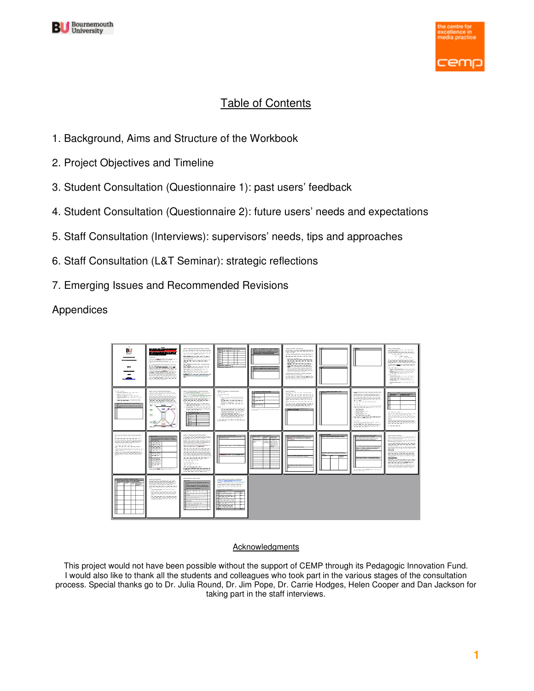



# Table of Contents

- 1. Background, Aims and Structure of the Workbook
- 2. Project Objectives and Timeline
- 3. Student Consultation (Questionnaire 1): past users' feedback
- 4. Student Consultation (Questionnaire 2): future users' needs and expectations
- 5. Staff Consultation (Interviews): supervisors' needs, tips and approaches
- 6. Staff Consultation (L&T Seminar): strategic reflections
- 7. Emerging Issues and Recommended Revisions

Appendices



#### **Acknowledgments**

This project would not have been possible without the support of CEMP through its Pedagogic Innovation Fund. I would also like to thank all the students and colleagues who took part in the various stages of the consultation process. Special thanks go to Dr. Julia Round, Dr. Jim Pope, Dr. Carrie Hodges, Helen Cooper and Dan Jackson for taking part in the staff interviews.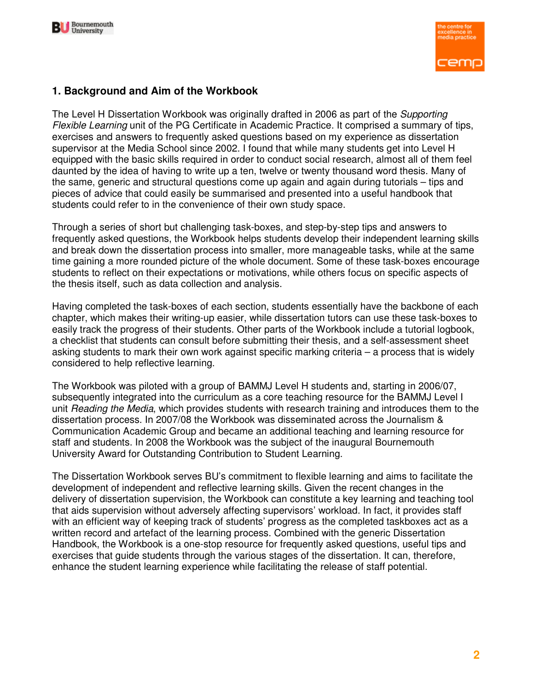



### **1. Background and Aim of the Workbook**

The Level H Dissertation Workbook was originally drafted in 2006 as part of the Supporting Flexible Learning unit of the PG Certificate in Academic Practice. It comprised a summary of tips, exercises and answers to frequently asked questions based on my experience as dissertation supervisor at the Media School since 2002. I found that while many students get into Level H equipped with the basic skills required in order to conduct social research, almost all of them feel daunted by the idea of having to write up a ten, twelve or twenty thousand word thesis. Many of the same, generic and structural questions come up again and again during tutorials – tips and pieces of advice that could easily be summarised and presented into a useful handbook that students could refer to in the convenience of their own study space.

Through a series of short but challenging task-boxes, and step-by-step tips and answers to frequently asked questions, the Workbook helps students develop their independent learning skills and break down the dissertation process into smaller, more manageable tasks, while at the same time gaining a more rounded picture of the whole document. Some of these task-boxes encourage students to reflect on their expectations or motivations, while others focus on specific aspects of the thesis itself, such as data collection and analysis.

Having completed the task-boxes of each section, students essentially have the backbone of each chapter, which makes their writing-up easier, while dissertation tutors can use these task-boxes to easily track the progress of their students. Other parts of the Workbook include a tutorial logbook, a checklist that students can consult before submitting their thesis, and a self-assessment sheet asking students to mark their own work against specific marking criteria – a process that is widely considered to help reflective learning.

The Workbook was piloted with a group of BAMMJ Level H students and, starting in 2006/07, subsequently integrated into the curriculum as a core teaching resource for the BAMMJ Level I unit Reading the Media, which provides students with research training and introduces them to the dissertation process. In 2007/08 the Workbook was disseminated across the Journalism & Communication Academic Group and became an additional teaching and learning resource for staff and students. In 2008 the Workbook was the subject of the inaugural Bournemouth University Award for Outstanding Contribution to Student Learning.

The Dissertation Workbook serves BU's commitment to flexible learning and aims to facilitate the development of independent and reflective learning skills. Given the recent changes in the delivery of dissertation supervision, the Workbook can constitute a key learning and teaching tool that aids supervision without adversely affecting supervisors' workload. In fact, it provides staff with an efficient way of keeping track of students' progress as the completed taskboxes act as a written record and artefact of the learning process. Combined with the generic Dissertation Handbook, the Workbook is a one-stop resource for frequently asked questions, useful tips and exercises that guide students through the various stages of the dissertation. It can, therefore, enhance the student learning experience while facilitating the release of staff potential.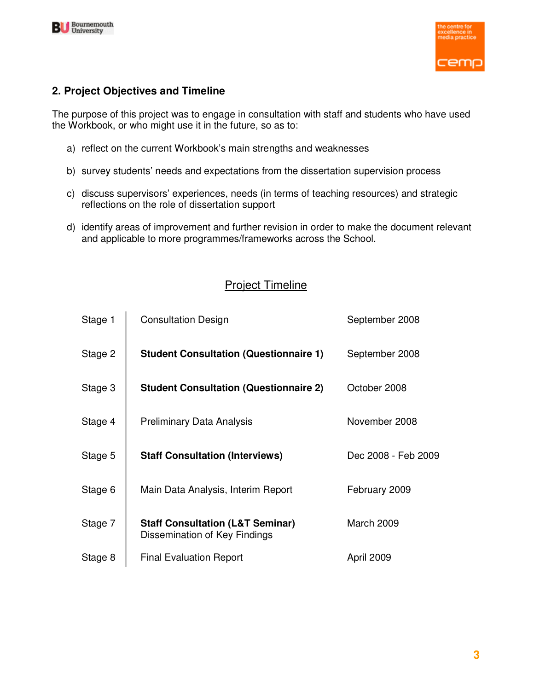



# **2. Project Objectives and Timeline**

The purpose of this project was to engage in consultation with staff and students who have used the Workbook, or who might use it in the future, so as to:

- a) reflect on the current Workbook's main strengths and weaknesses
- b) survey students' needs and expectations from the dissertation supervision process
- c) discuss supervisors' experiences, needs (in terms of teaching resources) and strategic reflections on the role of dissertation support
- d) identify areas of improvement and further revision in order to make the document relevant and applicable to more programmes/frameworks across the School.

# Project Timeline

| Stage 1 | <b>Consultation Design</b>                                                   | September 2008      |
|---------|------------------------------------------------------------------------------|---------------------|
| Stage 2 | <b>Student Consultation (Questionnaire 1)</b>                                | September 2008      |
| Stage 3 | <b>Student Consultation (Questionnaire 2)</b>                                | October 2008        |
| Stage 4 | <b>Preliminary Data Analysis</b>                                             | November 2008       |
| Stage 5 | <b>Staff Consultation (Interviews)</b>                                       | Dec 2008 - Feb 2009 |
| Stage 6 | Main Data Analysis, Interim Report                                           | February 2009       |
| Stage 7 | <b>Staff Consultation (L&amp;T Seminar)</b><br>Dissemination of Key Findings | March 2009          |
| Stage 8 | <b>Final Evaluation Report</b>                                               | April 2009          |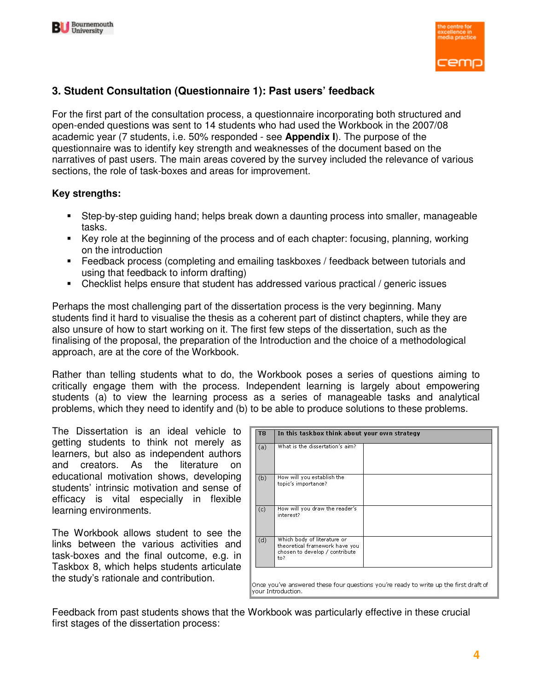



# **3. Student Consultation (Questionnaire 1): Past users' feedback**

For the first part of the consultation process, a questionnaire incorporating both structured and open-ended questions was sent to 14 students who had used the Workbook in the 2007/08 academic year (7 students, i.e. 50% responded - see **Appendix I**). The purpose of the questionnaire was to identify key strength and weaknesses of the document based on the narratives of past users. The main areas covered by the survey included the relevance of various sections, the role of task-boxes and areas for improvement.

#### **Key strengths:**

- Step-by-step guiding hand; helps break down a daunting process into smaller, manageable tasks.
- Key role at the beginning of the process and of each chapter: focusing, planning, working on the introduction
- Feedback process (completing and emailing taskboxes / feedback between tutorials and using that feedback to inform drafting)
- Checklist helps ensure that student has addressed various practical / generic issues

Perhaps the most challenging part of the dissertation process is the very beginning. Many students find it hard to visualise the thesis as a coherent part of distinct chapters, while they are also unsure of how to start working on it. The first few steps of the dissertation, such as the finalising of the proposal, the preparation of the Introduction and the choice of a methodological approach, are at the core of the Workbook.

Rather than telling students what to do, the Workbook poses a series of questions aiming to critically engage them with the process. Independent learning is largely about empowering students (a) to view the learning process as a series of manageable tasks and analytical problems, which they need to identify and (b) to be able to produce solutions to these problems.

The Dissertation is an ideal vehicle to getting students to think not merely as learners, but also as independent authors and creators. As the literature on educational motivation shows, developing students' intrinsic motivation and sense of efficacy is vital especially in flexible learning environments.

The Workbook allows student to see the links between the various activities and task-boxes and the final outcome, e.g. in Taskbox 8, which helps students articulate the study's rationale and contribution.

| T <sub>8</sub> | In this taskbox think about your own strategy                                                          |  |  |  |  |  |  |
|----------------|--------------------------------------------------------------------------------------------------------|--|--|--|--|--|--|
| (a)            | What is the dissertation's aim?                                                                        |  |  |  |  |  |  |
| (b)            | How will you establish the<br>topic's importance?                                                      |  |  |  |  |  |  |
| (c)            | How will you draw the reader's<br>interest?                                                            |  |  |  |  |  |  |
| (d)            | Which body of literature or<br>theoretical framework have you<br>chosen to develop / contribute<br>to? |  |  |  |  |  |  |

Feedback from past students shows that the Workbook was particularly effective in these crucial first stages of the dissertation process: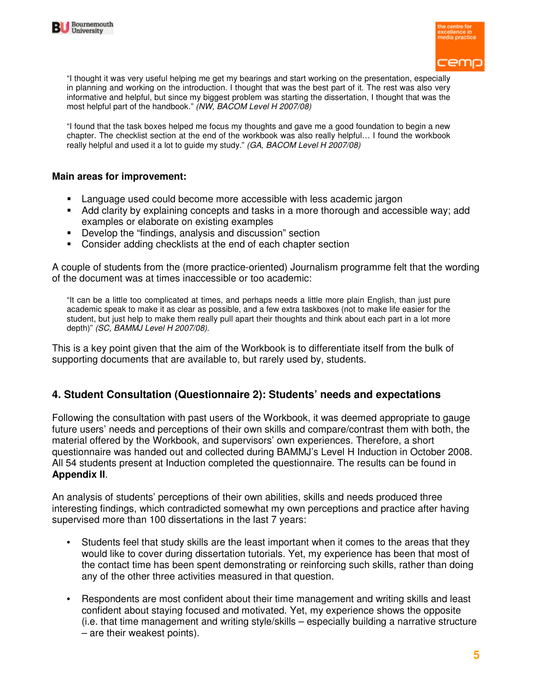



"I thought it was very useful helping me get my bearings and start working on the presentation, especially in planning and working on the introduction. I thought that was the best part of it. The rest was also very informative and helpful, but since my biggest problem was starting the dissertation, I thought that was the most helpful part of the handbook." (NW, BACOM Level H 2007/08)

"I found that the task boxes helped me focus my thoughts and gave me a good foundation to begin a new chapter. The checklist section at the end of the workbook was also really helpful… I found the workbook really helpful and used it a lot to guide my study." (GA, BACOM Level H 2007/08)

#### **Main areas for improvement:**

- Language used could become more accessible with less academic jargon
- Add clarity by explaining concepts and tasks in a more thorough and accessible way; add examples or elaborate on existing examples
- Develop the "findings, analysis and discussion" section
- Consider adding checklists at the end of each chapter section

A couple of students from the (more practice-oriented) Journalism programme felt that the wording of the document was at times inaccessible or too academic:

"It can be a little too complicated at times, and perhaps needs a little more plain English, than just pure academic speak to make it as clear as possible, and a few extra taskboxes (not to make life easier for the student, but just help to make them really pull apart their thoughts and think about each part in a lot more depth)" (SC, BAMMJ Level H 2007/08).

This is a key point given that the aim of the Workbook is to differentiate itself from the bulk of supporting documents that are available to, but rarely used by, students.

### **4. Student Consultation (Questionnaire 2): Students' needs and expectations**

Following the consultation with past users of the Workbook, it was deemed appropriate to gauge future users' needs and perceptions of their own skills and compare/contrast them with both, the material offered by the Workbook, and supervisors' own experiences. Therefore, a short questionnaire was handed out and collected during BAMMJ's Level H Induction in October 2008. All 54 students present at Induction completed the questionnaire. The results can be found in **Appendix II**.

An analysis of students' perceptions of their own abilities, skills and needs produced three interesting findings, which contradicted somewhat my own perceptions and practice after having supervised more than 100 dissertations in the last 7 years:

- Students feel that study skills are the least important when it comes to the areas that they would like to cover during dissertation tutorials. Yet, my experience has been that most of the contact time has been spent demonstrating or reinforcing such skills, rather than doing any of the other three activities measured in that question.
- Respondents are most confident about their time management and writing skills and least confident about staying focused and motivated. Yet, my experience shows the opposite (i.e. that time management and writing style/skills – especially building a narrative structure – are their weakest points).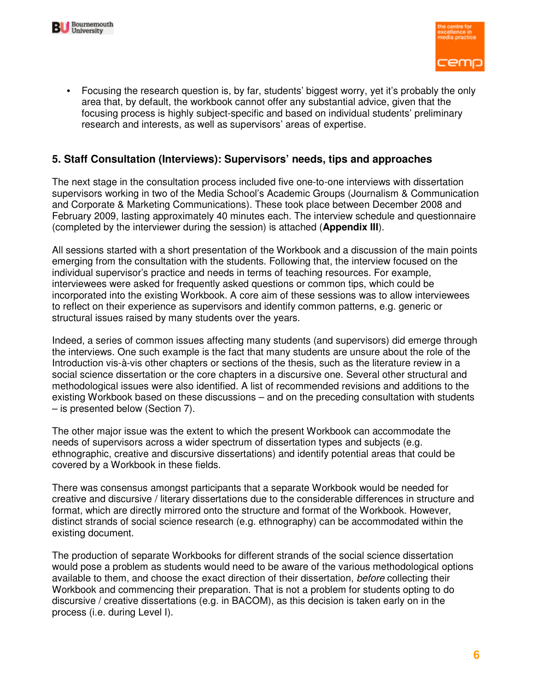



• Focusing the research question is, by far, students' biggest worry, yet it's probably the only area that, by default, the workbook cannot offer any substantial advice, given that the focusing process is highly subject-specific and based on individual students' preliminary research and interests, as well as supervisors' areas of expertise.

### **5. Staff Consultation (Interviews): Supervisors' needs, tips and approaches**

The next stage in the consultation process included five one-to-one interviews with dissertation supervisors working in two of the Media School's Academic Groups (Journalism & Communication and Corporate & Marketing Communications). These took place between December 2008 and February 2009, lasting approximately 40 minutes each. The interview schedule and questionnaire (completed by the interviewer during the session) is attached (**Appendix III**).

All sessions started with a short presentation of the Workbook and a discussion of the main points emerging from the consultation with the students. Following that, the interview focused on the individual supervisor's practice and needs in terms of teaching resources. For example, interviewees were asked for frequently asked questions or common tips, which could be incorporated into the existing Workbook. A core aim of these sessions was to allow interviewees to reflect on their experience as supervisors and identify common patterns, e.g. generic or structural issues raised by many students over the years.

Indeed, a series of common issues affecting many students (and supervisors) did emerge through the interviews. One such example is the fact that many students are unsure about the role of the Introduction vis-à-vis other chapters or sections of the thesis, such as the literature review in a social science dissertation or the core chapters in a discursive one. Several other structural and methodological issues were also identified. A list of recommended revisions and additions to the existing Workbook based on these discussions – and on the preceding consultation with students – is presented below (Section 7).

The other major issue was the extent to which the present Workbook can accommodate the needs of supervisors across a wider spectrum of dissertation types and subjects (e.g. ethnographic, creative and discursive dissertations) and identify potential areas that could be covered by a Workbook in these fields.

There was consensus amongst participants that a separate Workbook would be needed for creative and discursive / literary dissertations due to the considerable differences in structure and format, which are directly mirrored onto the structure and format of the Workbook. However, distinct strands of social science research (e.g. ethnography) can be accommodated within the existing document.

The production of separate Workbooks for different strands of the social science dissertation would pose a problem as students would need to be aware of the various methodological options available to them, and choose the exact direction of their dissertation, before collecting their Workbook and commencing their preparation. That is not a problem for students opting to do discursive / creative dissertations (e.g. in BACOM), as this decision is taken early on in the process (i.e. during Level I).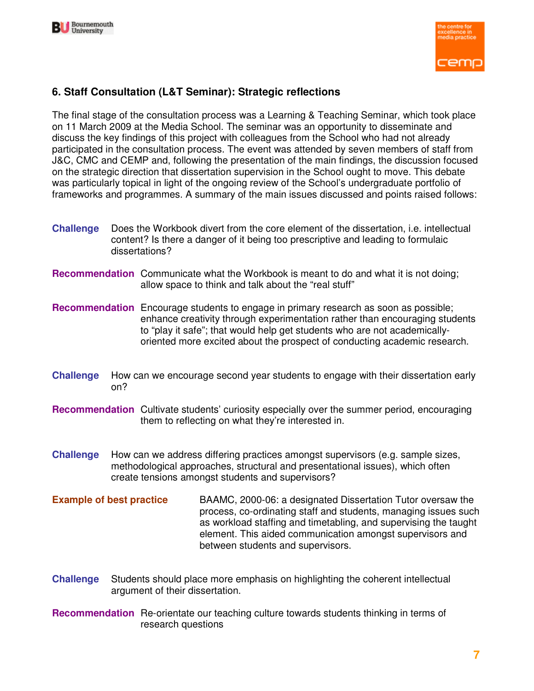



# **6. Staff Consultation (L&T Seminar): Strategic reflections**

The final stage of the consultation process was a Learning & Teaching Seminar, which took place on 11 March 2009 at the Media School. The seminar was an opportunity to disseminate and discuss the key findings of this project with colleagues from the School who had not already participated in the consultation process. The event was attended by seven members of staff from J&C, CMC and CEMP and, following the presentation of the main findings, the discussion focused on the strategic direction that dissertation supervision in the School ought to move. This debate was particularly topical in light of the ongoing review of the School's undergraduate portfolio of frameworks and programmes. A summary of the main issues discussed and points raised follows:

- **Challenge** Does the Workbook divert from the core element of the dissertation, i.e. intellectual content? Is there a danger of it being too prescriptive and leading to formulaic dissertations?
- **Recommendation** Communicate what the Workbook is meant to do and what it is not doing; allow space to think and talk about the "real stuff"
- **Recommendation** Encourage students to engage in primary research as soon as possible; enhance creativity through experimentation rather than encouraging students to "play it safe"; that would help get students who are not academicallyoriented more excited about the prospect of conducting academic research.
- **Challenge** How can we encourage second year students to engage with their dissertation early on?
- **Recommendation** Cultivate students' curiosity especially over the summer period, encouraging them to reflecting on what they're interested in.
- **Challenge** How can we address differing practices amongst supervisors (e.g. sample sizes, methodological approaches, structural and presentational issues), which often create tensions amongst students and supervisors?
- **Example of best practice** BAAMC, 2000-06: a designated Dissertation Tutor oversaw the process, co-ordinating staff and students, managing issues such as workload staffing and timetabling, and supervising the taught element. This aided communication amongst supervisors and between students and supervisors.
- **Challenge** Students should place more emphasis on highlighting the coherent intellectual argument of their dissertation.
- **Recommendation** Re-orientate our teaching culture towards students thinking in terms of research questions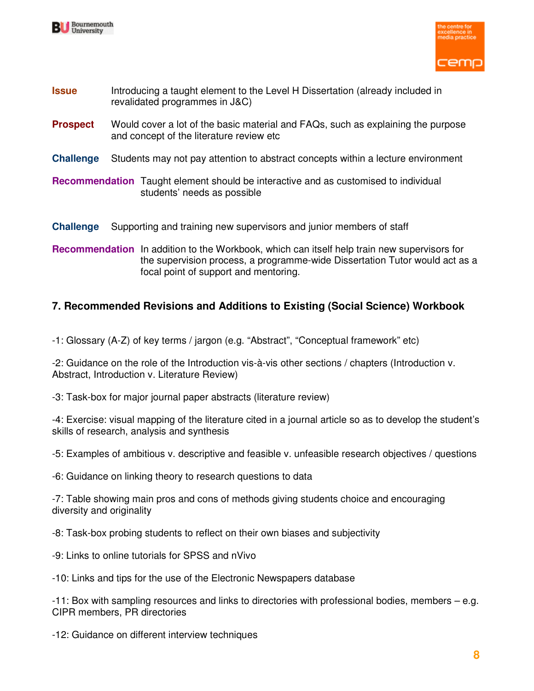



- **Issue** Introducing a taught element to the Level H Dissertation (already included in revalidated programmes in J&C)
- **Prospect** Would cover a lot of the basic material and FAQs, such as explaining the purpose and concept of the literature review etc
- **Challenge** Students may not pay attention to abstract concepts within a lecture environment

**Recommendation** Taught element should be interactive and as customised to individual students' needs as possible

**Challenge** Supporting and training new supervisors and junior members of staff

**Recommendation** In addition to the Workbook, which can itself help train new supervisors for the supervision process, a programme-wide Dissertation Tutor would act as a focal point of support and mentoring.

# **7. Recommended Revisions and Additions to Existing (Social Science) Workbook**

-1: Glossary (A-Z) of key terms / jargon (e.g. "Abstract", "Conceptual framework" etc)

-2: Guidance on the role of the Introduction vis-à-vis other sections / chapters (Introduction v. Abstract, Introduction v. Literature Review)

-3: Task-box for major journal paper abstracts (literature review)

-4: Exercise: visual mapping of the literature cited in a journal article so as to develop the student's skills of research, analysis and synthesis

-5: Examples of ambitious v. descriptive and feasible v. unfeasible research objectives / questions

-6: Guidance on linking theory to research questions to data

-7: Table showing main pros and cons of methods giving students choice and encouraging diversity and originality

-8: Task-box probing students to reflect on their own biases and subjectivity

-9: Links to online tutorials for SPSS and nVivo

-10: Links and tips for the use of the Electronic Newspapers database

-11: Box with sampling resources and links to directories with professional bodies, members – e.g. CIPR members, PR directories

-12: Guidance on different interview techniques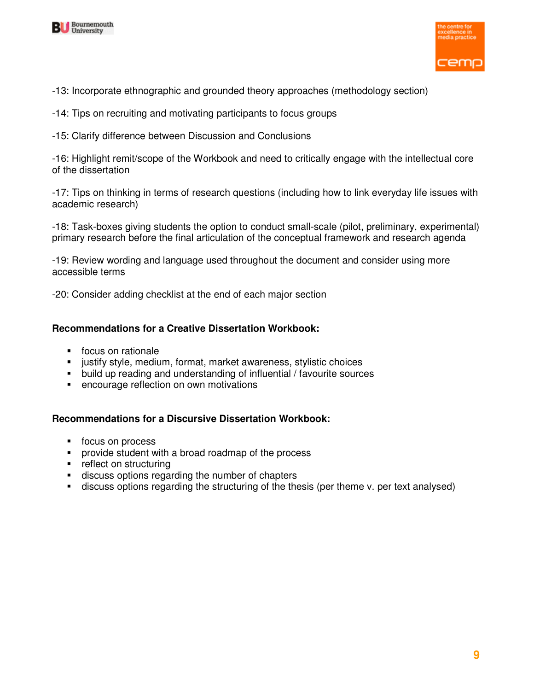



- -13: Incorporate ethnographic and grounded theory approaches (methodology section)
- -14: Tips on recruiting and motivating participants to focus groups
- -15: Clarify difference between Discussion and Conclusions

-16: Highlight remit/scope of the Workbook and need to critically engage with the intellectual core of the dissertation

-17: Tips on thinking in terms of research questions (including how to link everyday life issues with academic research)

-18: Task-boxes giving students the option to conduct small-scale (pilot, preliminary, experimental) primary research before the final articulation of the conceptual framework and research agenda

-19: Review wording and language used throughout the document and consider using more accessible terms

-20: Consider adding checklist at the end of each major section

#### **Recommendations for a Creative Dissertation Workbook:**

- **focus on rationale**
- **EXECT** justify style, medium, format, market awareness, stylistic choices
- build up reading and understanding of influential / favourite sources
- encourage reflection on own motivations

#### **Recommendations for a Discursive Dissertation Workbook:**

- focus on process
- provide student with a broad roadmap of the process
- **•** reflect on structuring
- discuss options regarding the number of chapters
- discuss options regarding the structuring of the thesis (per theme v. per text analysed)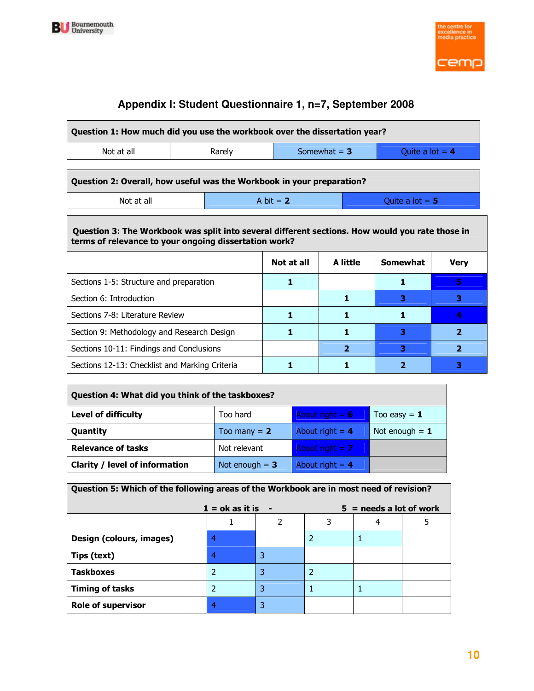



# **Appendix I: Student Questionnaire 1, n=7, September 2008**

| Question 1: How much did you use the workbook over the dissertation year?                                                                                                                                            |   |                |    |                   |    |  |  |  |
|----------------------------------------------------------------------------------------------------------------------------------------------------------------------------------------------------------------------|---|----------------|----|-------------------|----|--|--|--|
| Somewhat $= 3$<br>Not at all<br>Rarely<br>Quite a lot $= 4$                                                                                                                                                          |   |                |    |                   |    |  |  |  |
| Question 2: Overall, how useful was the Workbook in your preparation?                                                                                                                                                |   |                |    |                   |    |  |  |  |
| Not at all                                                                                                                                                                                                           |   | A bit $= 2$    |    | Quite a lot $= 5$ |    |  |  |  |
| Question 3: The Workbook was split into several different sections. How would you rate those in<br>terms of relevance to your ongoing dissertation work?<br>A little<br><b>Somewhat</b><br>Not at all<br><b>Very</b> |   |                |    |                   |    |  |  |  |
| Sections 1-5: Structure and preparation                                                                                                                                                                              |   | 1              |    | 1                 | 5. |  |  |  |
| Section 6: Introduction                                                                                                                                                                                              |   |                | 1. | 3                 | 3  |  |  |  |
| Sections 7-8: Literature Review                                                                                                                                                                                      |   | 1              | 1  | 1                 | 4  |  |  |  |
| Section 9: Methodology and Research Design                                                                                                                                                                           | 1 | 1.             | 3  | $\overline{2}$    |    |  |  |  |
| Sections 10-11: Findings and Conclusions                                                                                                                                                                             |   | $\overline{2}$ | з  | $\overline{2}$    |    |  |  |  |
| Sections 12-13: Checklist and Marking Criteria                                                                                                                                                                       |   |                |    | 2                 | з  |  |  |  |

| Question 4: What did you think of the taskboxes? |                  |                   |                  |  |  |  |  |
|--------------------------------------------------|------------------|-------------------|------------------|--|--|--|--|
| <b>Level of difficulty</b>                       | Too hard         | About right = $6$ | Too easy $= 1$   |  |  |  |  |
| Quantity                                         | Too many $= 2$   | About right $= 4$ | Not enough $= 1$ |  |  |  |  |
| <b>Relevance of tasks</b>                        | Not relevant     | About right $= 7$ |                  |  |  |  |  |
| <b>Clarity / level of information</b>            | Not enough $= 3$ | About right $= 4$ |                  |  |  |  |  |

| Question 5: Which of the following areas of the Workbook are in most need of revision? |   |   |   |  |  |  |  |
|----------------------------------------------------------------------------------------|---|---|---|--|--|--|--|
| $1 = \alpha k$ as it is<br>$5 =$ needs a lot of work                                   |   |   |   |  |  |  |  |
| 4                                                                                      |   |   |   |  |  |  |  |
| Design (colours, images)                                                               | 4 |   |   |  |  |  |  |
| Tips (text)                                                                            | 4 | 3 |   |  |  |  |  |
| <b>Taskboxes</b>                                                                       | 2 | 3 | 2 |  |  |  |  |
| <b>Timing of tasks</b>                                                                 | 2 | 3 |   |  |  |  |  |
| <b>Role of supervisor</b>                                                              | 4 | 3 |   |  |  |  |  |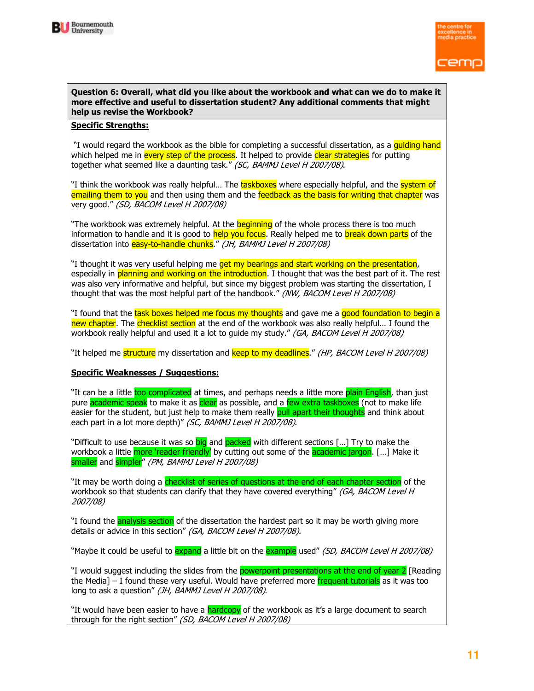



#### Question 6: Overall, what did you like about the workbook and what can we do to make it more effective and useful to dissertation student? Any additional comments that might help us revise the Workbook?

#### Specific Strengths:

"I would regard the workbook as the bible for completing a successful dissertation, as a quiding hand which helped me in every step of the process. It helped to provide clear strategies for putting together what seemed like a daunting task." (SC, BAMMJ Level H 2007/08).

"I think the workbook was really helpful... The taskboxes where especially helpful, and the system of emailing them to you and then using them and the feedback as the basis for writing that chapter was very good." (SD, BACOM Level H 2007/08)

"The workbook was extremely helpful. At the **beginning** of the whole process there is too much information to handle and it is good to help you focus. Really helped me to break down parts of the dissertation into easy-to-handle chunks." (JH, BAMMJ Level H 2007/08)

"I thought it was very useful helping me get my bearings and start working on the presentation, especially in planning and working on the introduction. I thought that was the best part of it. The rest was also very informative and helpful, but since my biggest problem was starting the dissertation, I thought that was the most helpful part of the handbook." (NW, BACOM Level H 2007/08)

"I found that the task boxes helped me focus my thoughts and gave me a good foundation to begin a new chapter. The checklist section at the end of the workbook was also really helpful... I found the workbook really helpful and used it a lot to quide my study." (GA, BACOM Level H 2007/08)

"It helped me structure my dissertation and keep to my deadlines." (HP, BACOM Level H 2007/08)

#### Specific Weaknesses / Suggestions:

"It can be a little too complicated at times, and perhaps needs a little more plain English, than just pure academic speak to make it as clear as possible, and a few extra taskboxes (not to make life easier for the student, but just help to make them really pull apart their thoughts and think about each part in a lot more depth)" (SC, BAMMJ Level H 2007/08).

"Difficult to use because it was so big and packed with different sections [...] Try to make the workbook a little more 'reader friendly' by cutting out some of the academic jargon. [...] Make it smaller and simpler" (PM, BAMMJ Level H 2007/08)

"It may be worth doing a checklist of series of questions at the end of each chapter section of the workbook so that students can clarify that they have covered everything" (GA, BACOM Level H 2007/08)

"I found the **analysis section** of the dissertation the hardest part so it may be worth giving more details or advice in this section" (GA, BACOM Level H 2007/08).

"Maybe it could be useful to <mark>expand</mark> a little bit on the example used" *(SD, BACOM Level H 2007/08)* 

"I would suggest including the slides from the **powerpoint presentations at the end of year 2** [Reading the Media] – I found these very useful. Would have preferred more frequent tutorials as it was too long to ask a question" (JH, BAMMJ Level H 2007/08).

"It would have been easier to have a hardcopy of the workbook as it's a large document to search through for the right section" (SD, BACOM Level H 2007/08)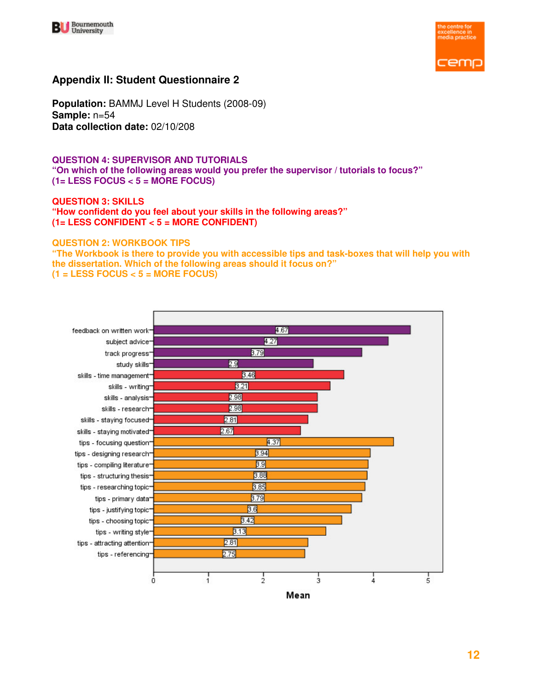



### **Appendix II: Student Questionnaire 2**

**Population:** BAMMJ Level H Students (2008-09) **Sample:** n=54 **Data collection date:** 02/10/208

#### **QUESTION 4: SUPERVISOR AND TUTORIALS "On which of the following areas would you prefer the supervisor / tutorials to focus?" (1= LESS FOCUS < 5 = MORE FOCUS)**

**QUESTION 3: SKILLS "How confident do you feel about your skills in the following areas?" (1= LESS CONFIDENT < 5 = MORE CONFIDENT)** 

#### **QUESTION 2: WORKBOOK TIPS**

**"The Workbook is there to provide you with accessible tips and task-boxes that will help you with the dissertation. Which of the following areas should it focus on?" (1 = LESS FOCUS < 5 = MORE FOCUS)** 

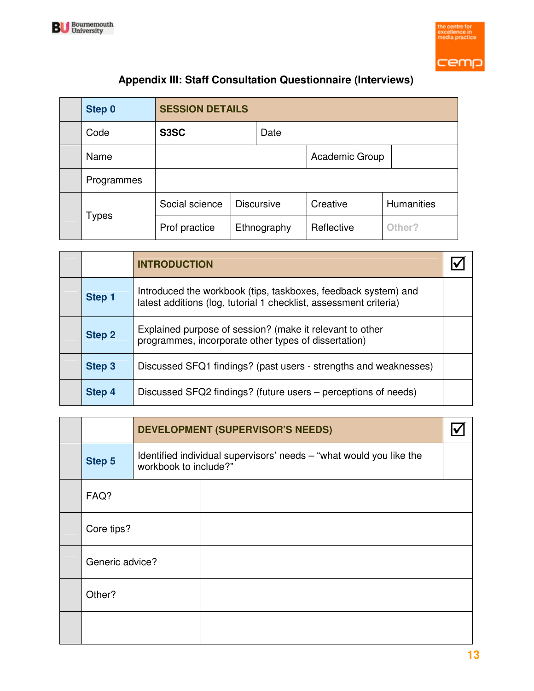



# **Appendix III: Staff Consultation Questionnaire (Interviews)**

| Step 0       | <b>SESSION DETAILS</b> |  |                   |            |  |                   |
|--------------|------------------------|--|-------------------|------------|--|-------------------|
| Code         | S3SC                   |  | Date              |            |  |                   |
| Name         | Academic Group         |  |                   |            |  |                   |
| Programmes   |                        |  |                   |            |  |                   |
|              | Social science         |  | <b>Discursive</b> | Creative   |  | <b>Humanities</b> |
| <b>Types</b> | Prof practice          |  | Ethnography       | Reflective |  | Other?            |

|               | <b>INTRODUCTION</b>                                                                                                                 |  |
|---------------|-------------------------------------------------------------------------------------------------------------------------------------|--|
| Step 1        | Introduced the workbook (tips, taskboxes, feedback system) and<br>latest additions (log, tutorial 1 checklist, assessment criteria) |  |
| <b>Step 2</b> | Explained purpose of session? (make it relevant to other<br>programmes, incorporate other types of dissertation)                    |  |
| Step 3        | Discussed SFQ1 findings? (past users - strengths and weaknesses)                                                                    |  |
| Step 4        | Discussed SFQ2 findings? (future users – perceptions of needs)                                                                      |  |

|                 |                                                                                              | <b>DEVELOPMENT (SUPERVISOR'S NEEDS)</b> |  |  |  |  |  |
|-----------------|----------------------------------------------------------------------------------------------|-----------------------------------------|--|--|--|--|--|
| Step 5          | Identified individual supervisors' needs - "what would you like the<br>workbook to include?" |                                         |  |  |  |  |  |
| FAQ?            |                                                                                              |                                         |  |  |  |  |  |
| Core tips?      |                                                                                              |                                         |  |  |  |  |  |
| Generic advice? |                                                                                              |                                         |  |  |  |  |  |
| Other?          |                                                                                              |                                         |  |  |  |  |  |
|                 |                                                                                              |                                         |  |  |  |  |  |